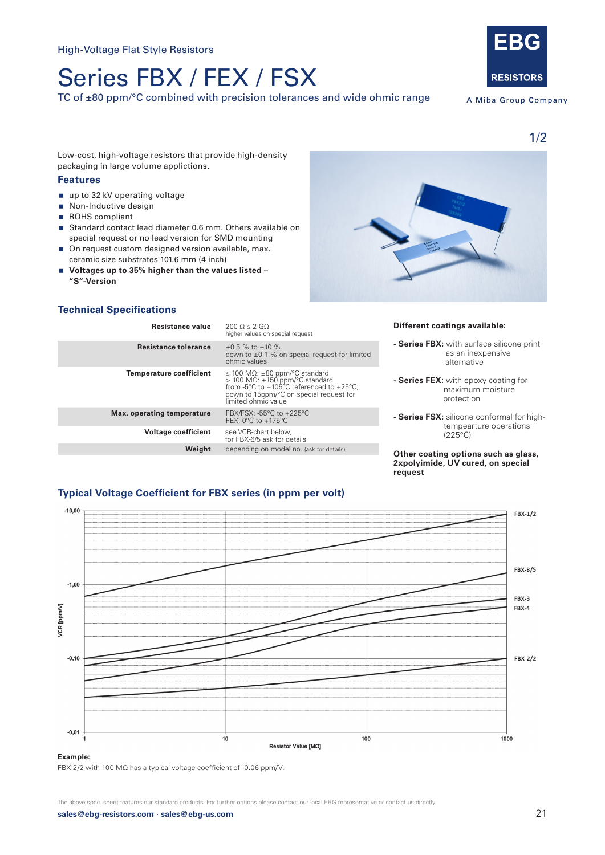# Series FBX / FEX / FSX

TC of ±80 ppm/°C combined with precision tolerances and wide ohmic range



A Miba Group Company

1/2

Low-cost, high-voltage resistors that provide high-density packaging in large volume applictions.

## **Features**

- up to 32 kV operating voltage
- Non-Inductive design
- ROHS compliant
- Standard contact lead diameter 0.6 mm. Others available on special request or no lead version for SMD mounting
- On request custom designed version available, max. ceramic size substrates 101.6 mm (4 inch)
- **Voltages up to 35% higher than the values listed "S"-Version**

## **Technical Specifications**

| Resistance value               | $2000 < 2$ GO<br>higher values on special request                                                                                                                                                                                |
|--------------------------------|----------------------------------------------------------------------------------------------------------------------------------------------------------------------------------------------------------------------------------|
| <b>Resistance tolerance</b>    | $+0.5$ % to $+10$ %<br>down to $\pm 0.1$ % on special request for limited<br>ohmic values                                                                                                                                        |
| <b>Temperature coefficient</b> | $\leq$ 100 M $\Omega$ : $\pm$ 80 ppm/°C standard<br>> 100 MΩ: $±150$ ppm/°C standard<br>from -5 $\degree$ C to +105 $\degree$ C referenced to +25 $\degree$ C;<br>down to 15ppm/°C on special request for<br>limited ohmic value |
| Max. operating temperature     | FBX/FSX: -55°C to +225°C<br>FEX: $0^{\circ}$ C to $+175^{\circ}$ C                                                                                                                                                               |
| <b>Voltage coefficient</b>     | see VCR-chart below,<br>for FBX-6/5 ask for details                                                                                                                                                                              |
| Weight                         | depending on model no. (ask for details)                                                                                                                                                                                         |



### **Different coatings available:**

- **Series FBX:** with surface silicone print as an inexpensive alternative
- **Series FEX:** with epoxy coating for maximum moisture protection
- **Series FSX:** silicone conformal for high tempearture operations (225°C)

#### **Other coating options such as glass, 2xpolyimide, UV cured, on special request**

## **Typical Voltage Coefficient for FBX series (in ppm per volt)**



#### **Example:**

FBX-2/2 with 100 MΩ has a typical voltage coefficient of -0.06 ppm/V.

**sales@ebg-resistors.com · sales@ebg-us.com** 21 The above spec. sheet features our standard products. For further options please contact our local EBG representative or contact us directly.